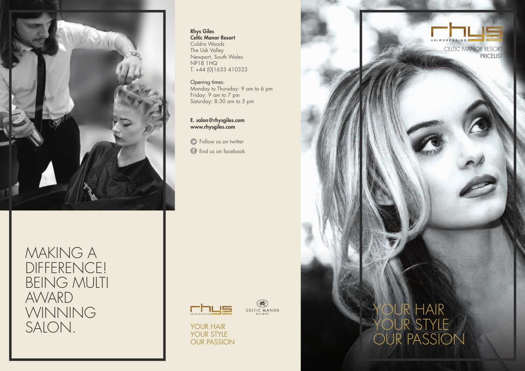

MAKING A DIFFERENCE! BEING MULTI AWARD WINNING SALON. YOUR HAIR

## Rhys Giles Celtic Manor Resort Coldra Woods The Usk Valley

Newport, South Wales NP18 1HQ T. +44 (0)1633 410323

Opening times: Monday to Thursday: 9 am to 6 pm Friday: 9 am to 7 pm Saturday: 8:30 am to 5 pm

E. salon@rhysgiles.com www.rhysgiles.com

find us on facebook **C** Follow us on twitter



 $\mathscr{L}$ **CELTIC MANOR** 

YOUR STYLE OUR PASSION





PRICELIST